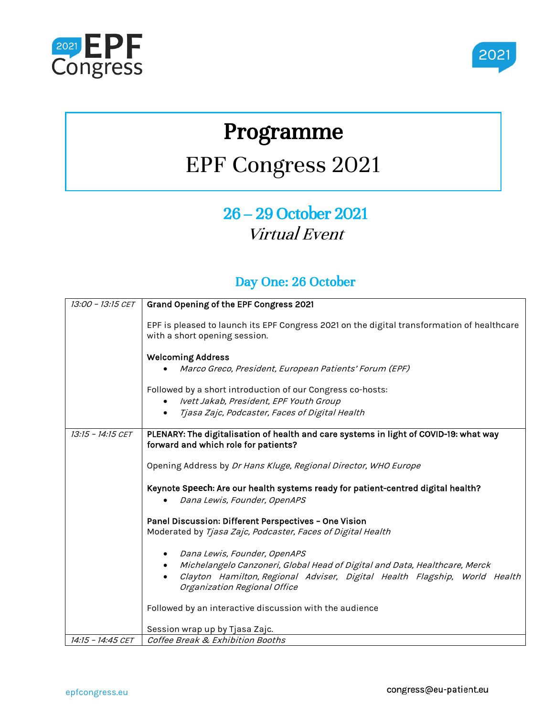



# Programme

# EPF Congress 2021

## 26 – 29 October 2021 Virtual Event

#### Day One: 26 October

| 13:00 - 13:15 CET | Grand Opening of the EPF Congress 2021                                                                                                                                                                    |
|-------------------|-----------------------------------------------------------------------------------------------------------------------------------------------------------------------------------------------------------|
|                   | EPF is pleased to launch its EPF Congress 2021 on the digital transformation of healthcare<br>with a short opening session.                                                                               |
|                   | <b>Welcoming Address</b>                                                                                                                                                                                  |
|                   | Marco Greco, President, European Patients' Forum (EPF)                                                                                                                                                    |
|                   | Followed by a short introduction of our Congress co-hosts:                                                                                                                                                |
|                   | Ivett Jakab, President, EPF Youth Group                                                                                                                                                                   |
|                   | Tjasa Zajc, Podcaster, Faces of Digital Health                                                                                                                                                            |
| 13:15 - 14:15 CET | PLENARY: The digitalisation of health and care systems in light of COVID-19: what way<br>forward and which role for patients?                                                                             |
|                   | Opening Address by Dr Hans Kluge, Regional Director, WHO Europe                                                                                                                                           |
|                   | Keynote Speech: Are our health systems ready for patient-centred digital health?<br>Dana Lewis, Founder, OpenAPS                                                                                          |
|                   | Panel Discussion: Different Perspectives - One Vision                                                                                                                                                     |
|                   | Moderated by Tjasa Zajc, Podcaster, Faces of Digital Health                                                                                                                                               |
|                   | Dana Lewis, Founder, OpenAPS                                                                                                                                                                              |
|                   | Michelangelo Canzoneri, Global Head of Digital and Data, Healthcare, Merck<br>٠<br>Clayton Hamilton, Regional Adviser, Digital Health Flagship, World Health<br>$\bullet$<br>Organization Regional Office |
|                   | Followed by an interactive discussion with the audience                                                                                                                                                   |
|                   | Session wrap up by Tjasa Zajc.                                                                                                                                                                            |
| 14:15 - 14:45 CET | Coffee Break & Exhibition Booths                                                                                                                                                                          |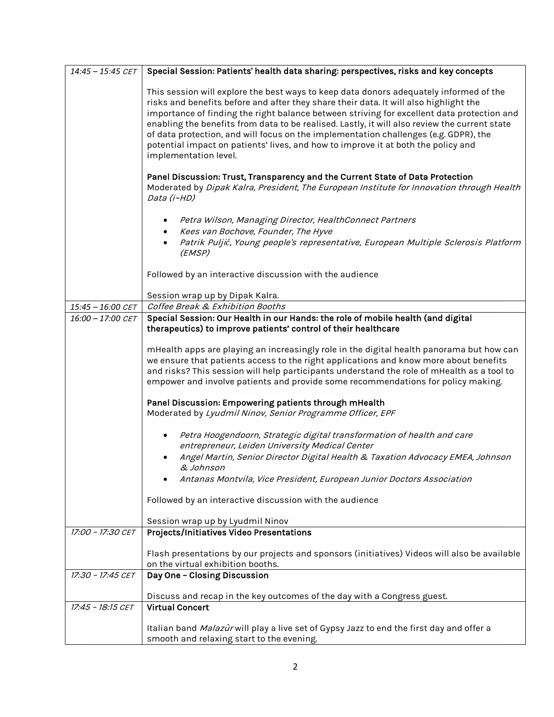| $14:45 - 15:45$ CET | Special Session: Patients' health data sharing: perspectives, risks and key concepts                                                                                                                                                                                                                                                                                                                                                                                                                                                                                                 |
|---------------------|--------------------------------------------------------------------------------------------------------------------------------------------------------------------------------------------------------------------------------------------------------------------------------------------------------------------------------------------------------------------------------------------------------------------------------------------------------------------------------------------------------------------------------------------------------------------------------------|
|                     | This session will explore the best ways to keep data donors adequately informed of the<br>risks and benefits before and after they share their data. It will also highlight the<br>importance of finding the right balance between striving for excellent data protection and<br>enabling the benefits from data to be realised. Lastly, it will also review the current state<br>of data protection, and will focus on the implementation challenges (e.g. GDPR), the<br>potential impact on patients' lives, and how to improve it at both the policy and<br>implementation level. |
|                     | Panel Discussion: Trust, Transparency and the Current State of Data Protection<br>Moderated by Dipak Kalra, President, The European Institute for Innovation through Health<br>Data (i~HD)                                                                                                                                                                                                                                                                                                                                                                                           |
|                     | Petra Wilson, Managing Director, HealthConnect Partners                                                                                                                                                                                                                                                                                                                                                                                                                                                                                                                              |
|                     | Kees van Bochove, Founder, The Hyve<br>Patrik Puljić, Young people's representative, European Multiple Sclerosis Platform<br>(EMSP)                                                                                                                                                                                                                                                                                                                                                                                                                                                  |
|                     | Followed by an interactive discussion with the audience                                                                                                                                                                                                                                                                                                                                                                                                                                                                                                                              |
|                     | Session wrap up by Dipak Kalra.                                                                                                                                                                                                                                                                                                                                                                                                                                                                                                                                                      |
| 15:45 - 16:00 CET   | Coffee Break & Exhibition Booths                                                                                                                                                                                                                                                                                                                                                                                                                                                                                                                                                     |
| 16:00 - 17:00 CET   | Special Session: Our Health in our Hands: the role of mobile health (and digital<br>therapeutics) to improve patients' control of their healthcare                                                                                                                                                                                                                                                                                                                                                                                                                                   |
|                     | mHealth apps are playing an increasingly role in the digital health panorama but how can<br>we ensure that patients access to the right applications and know more about benefits<br>and risks? This session will help participants understand the role of mHealth as a tool to<br>empower and involve patients and provide some recommendations for policy making.                                                                                                                                                                                                                  |
|                     | Panel Discussion: Empowering patients through mHealth<br>Moderated by Lyudmil Ninov, Senior Programme Officer, EPF                                                                                                                                                                                                                                                                                                                                                                                                                                                                   |
|                     | Petra Hoogendoorn, Strategic digital transformation of health and care<br>entrepreneur, Leiden University Medical Center<br>Angel Martin, Senior Director Digital Health & Taxation Advocacy EMEA, Johnson                                                                                                                                                                                                                                                                                                                                                                           |
|                     | & Johnson                                                                                                                                                                                                                                                                                                                                                                                                                                                                                                                                                                            |
|                     | Antanas Montvila, Vice President, European Junior Doctors Association                                                                                                                                                                                                                                                                                                                                                                                                                                                                                                                |
|                     | Followed by an interactive discussion with the audience                                                                                                                                                                                                                                                                                                                                                                                                                                                                                                                              |
|                     | Session wrap up by Lyudmil Ninov                                                                                                                                                                                                                                                                                                                                                                                                                                                                                                                                                     |
| 17:00 - 17:30 CET   | Projects/Initiatives Video Presentations                                                                                                                                                                                                                                                                                                                                                                                                                                                                                                                                             |
|                     | Flash presentations by our projects and sponsors (initiatives) Videos will also be available<br>on the virtual exhibition booths.                                                                                                                                                                                                                                                                                                                                                                                                                                                    |
| 17:30 - 17:45 CET   | Day One - Closing Discussion                                                                                                                                                                                                                                                                                                                                                                                                                                                                                                                                                         |
|                     | Discuss and recap in the key outcomes of the day with a Congress guest.                                                                                                                                                                                                                                                                                                                                                                                                                                                                                                              |
| 17:45 - 18:15 CET   | <b>Virtual Concert</b>                                                                                                                                                                                                                                                                                                                                                                                                                                                                                                                                                               |
|                     | Italian band Malazur will play a live set of Gypsy Jazz to end the first day and offer a<br>smooth and relaxing start to the evening.                                                                                                                                                                                                                                                                                                                                                                                                                                                |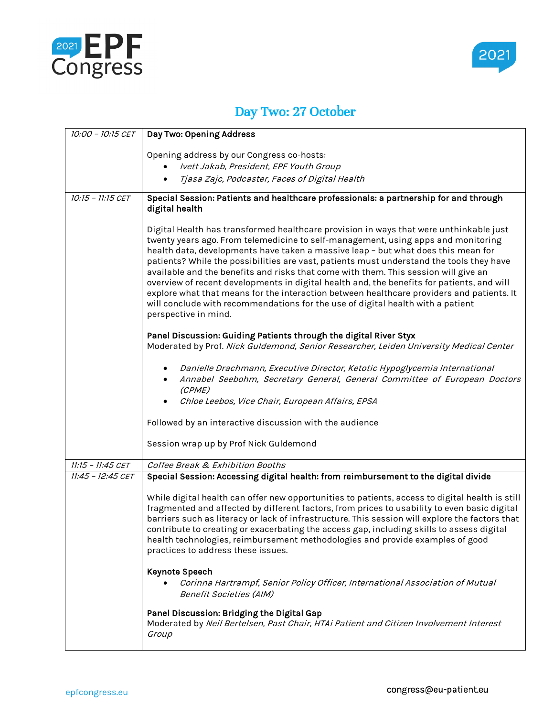



### Day Two: 27 October

| 10:00 - 10:15 CET | Day Two: Opening Address                                                                                                                                                                                                                                                                                                                                                                                                                                                                                                                                                                                                                                                                                                                                  |
|-------------------|-----------------------------------------------------------------------------------------------------------------------------------------------------------------------------------------------------------------------------------------------------------------------------------------------------------------------------------------------------------------------------------------------------------------------------------------------------------------------------------------------------------------------------------------------------------------------------------------------------------------------------------------------------------------------------------------------------------------------------------------------------------|
|                   |                                                                                                                                                                                                                                                                                                                                                                                                                                                                                                                                                                                                                                                                                                                                                           |
|                   | Opening address by our Congress co-hosts:                                                                                                                                                                                                                                                                                                                                                                                                                                                                                                                                                                                                                                                                                                                 |
|                   | Ivett Jakab, President, EPF Youth Group                                                                                                                                                                                                                                                                                                                                                                                                                                                                                                                                                                                                                                                                                                                   |
|                   | Tjasa Zajc, Podcaster, Faces of Digital Health                                                                                                                                                                                                                                                                                                                                                                                                                                                                                                                                                                                                                                                                                                            |
| 10:15 - 11:15 CET | Special Session: Patients and healthcare professionals: a partnership for and through<br>digital health                                                                                                                                                                                                                                                                                                                                                                                                                                                                                                                                                                                                                                                   |
|                   | Digital Health has transformed healthcare provision in ways that were unthinkable just<br>twenty years ago. From telemedicine to self-management, using apps and monitoring<br>health data, developments have taken a massive leap - but what does this mean for<br>patients? While the possibilities are vast, patients must understand the tools they have<br>available and the benefits and risks that come with them. This session will give an<br>overview of recent developments in digital health and, the benefits for patients, and will<br>explore what that means for the interaction between healthcare providers and patients. It<br>will conclude with recommendations for the use of digital health with a patient<br>perspective in mind. |
|                   | Panel Discussion: Guiding Patients through the digital River Styx<br>Moderated by Prof. Nick Guldemond, Senior Researcher, Leiden University Medical Center                                                                                                                                                                                                                                                                                                                                                                                                                                                                                                                                                                                               |
|                   | Danielle Drachmann, Executive Director, Ketotic Hypoglycemia International<br>Annabel Seebohm, Secretary General, General Committee of European Doctors<br>(CPME)<br>Chloe Leebos, Vice Chair, European Affairs, EPSA                                                                                                                                                                                                                                                                                                                                                                                                                                                                                                                                     |
|                   | Followed by an interactive discussion with the audience                                                                                                                                                                                                                                                                                                                                                                                                                                                                                                                                                                                                                                                                                                   |
|                   | Session wrap up by Prof Nick Guldemond                                                                                                                                                                                                                                                                                                                                                                                                                                                                                                                                                                                                                                                                                                                    |
| 11:15 - 11:45 CET | Coffee Break & Exhibition Booths                                                                                                                                                                                                                                                                                                                                                                                                                                                                                                                                                                                                                                                                                                                          |
| 11:45 - 12:45 CET | Special Session: Accessing digital health: from reimbursement to the digital divide                                                                                                                                                                                                                                                                                                                                                                                                                                                                                                                                                                                                                                                                       |
|                   | While digital health can offer new opportunities to patients, access to digital health is still<br>fragmented and affected by different factors, from prices to usability to even basic digital<br>barriers such as literacy or lack of infrastructure. This session will explore the factors that<br>contribute to creating or exacerbating the access gap, including skills to assess digital<br>health technologies, reimbursement methodologies and provide examples of good<br>practices to address these issues.                                                                                                                                                                                                                                    |
|                   | <b>Keynote Speech</b><br>Corinna Hartrampf, Senior Policy Officer, International Association of Mutual<br><b>Benefit Societies (AIM)</b>                                                                                                                                                                                                                                                                                                                                                                                                                                                                                                                                                                                                                  |
|                   | Panel Discussion: Bridging the Digital Gap<br>Moderated by Neil Bertelsen, Past Chair, HTAi Patient and Citizen Involvement Interest<br>Group                                                                                                                                                                                                                                                                                                                                                                                                                                                                                                                                                                                                             |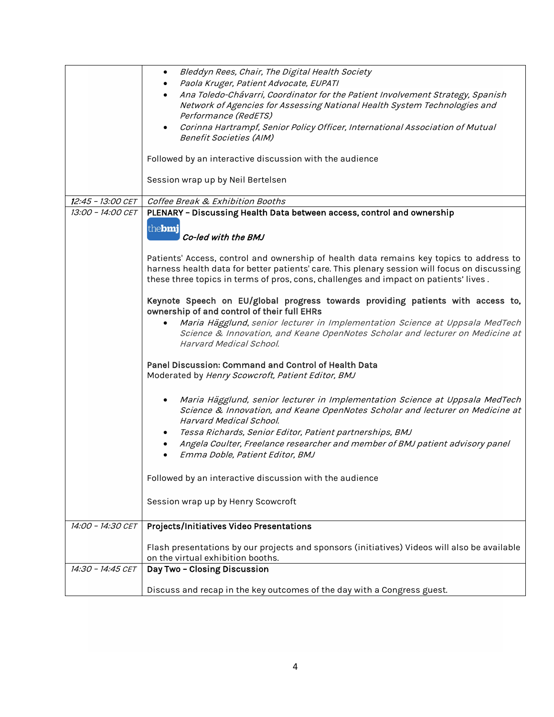|                   | Bleddyn Rees, Chair, The Digital Health Society<br>$\bullet$                                                                   |
|-------------------|--------------------------------------------------------------------------------------------------------------------------------|
|                   | Paola Kruger, Patient Advocate, EUPATI                                                                                         |
|                   | Ana Toledo-Chávarri, Coordinator for the Patient Involvement Strategy, Spanish                                                 |
|                   | Network of Agencies for Assessing National Health System Technologies and                                                      |
|                   | Performance (RedETS)                                                                                                           |
|                   | Corinna Hartrampf, Senior Policy Officer, International Association of Mutual                                                  |
|                   | Benefit Societies (AIM)                                                                                                        |
|                   |                                                                                                                                |
|                   | Followed by an interactive discussion with the audience                                                                        |
|                   |                                                                                                                                |
|                   | Session wrap up by Neil Bertelsen                                                                                              |
|                   |                                                                                                                                |
| 12:45 - 13:00 CET | Coffee Break & Exhibition Booths                                                                                               |
| 13:00 - 14:00 CET | PLENARY - Discussing Health Data between access, control and ownership                                                         |
|                   | thebmj                                                                                                                         |
|                   | Co-led with the BMJ                                                                                                            |
|                   |                                                                                                                                |
|                   | Patients' Access, control and ownership of health data remains key topics to address to                                        |
|                   | harness health data for better patients' care. This plenary session will focus on discussing                                   |
|                   | these three topics in terms of pros, cons, challenges and impact on patients' lives.                                           |
|                   |                                                                                                                                |
|                   | Keynote Speech on EU/global progress towards providing patients with access to,<br>ownership of and control of their full EHRs |
|                   | Maria Hägglund, senior lecturer in Implementation Science at Uppsala MedTech                                                   |
|                   | Science & Innovation, and Keane OpenNotes Scholar and lecturer on Medicine at                                                  |
|                   | Harvard Medical School.                                                                                                        |
|                   |                                                                                                                                |
|                   | Panel Discussion: Command and Control of Health Data                                                                           |
|                   | Moderated by Henry Scowcroft, Patient Editor, BMJ                                                                              |
|                   |                                                                                                                                |
|                   | Maria Hägglund, senior lecturer in Implementation Science at Uppsala MedTech                                                   |
|                   | Science & Innovation, and Keane OpenNotes Scholar and lecturer on Medicine at                                                  |
|                   | Harvard Medical School.                                                                                                        |
|                   | Tessa Richards, Senior Editor, Patient partnerships, BMJ                                                                       |
|                   | Angela Coulter, Freelance researcher and member of BMJ patient advisory panel                                                  |
|                   | Emma Doble, Patient Editor, BMJ                                                                                                |
|                   |                                                                                                                                |
|                   | Followed by an interactive discussion with the audience                                                                        |
|                   |                                                                                                                                |
|                   | Session wrap up by Henry Scowcroft                                                                                             |
|                   |                                                                                                                                |
| 14:00 - 14:30 CET | Projects/Initiatives Video Presentations                                                                                       |
|                   |                                                                                                                                |
|                   | Flash presentations by our projects and sponsors (initiatives) Videos will also be available                                   |
|                   | on the virtual exhibition booths.                                                                                              |
| 14:30 - 14:45 CET | Day Two - Closing Discussion                                                                                                   |
|                   |                                                                                                                                |
|                   | Discuss and recap in the key outcomes of the day with a Congress guest.                                                        |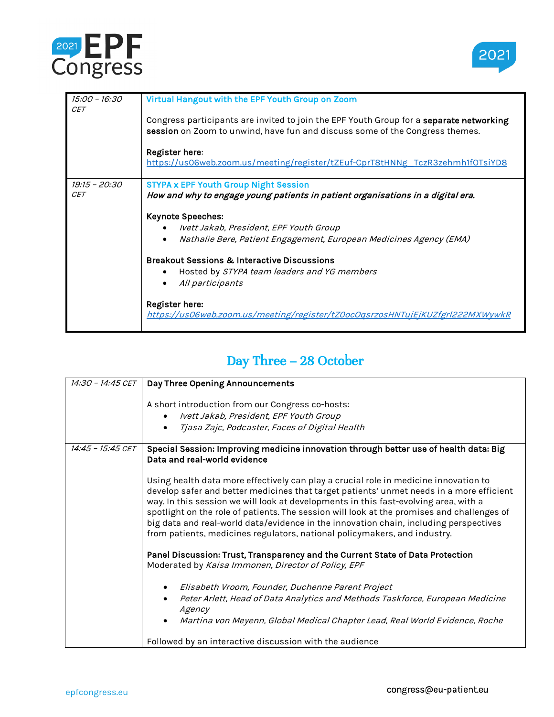



| 15:00 - 16:30<br><b>CET</b> | Virtual Hangout with the EPF Youth Group on Zoom                                                                                                                        |
|-----------------------------|-------------------------------------------------------------------------------------------------------------------------------------------------------------------------|
|                             | Congress participants are invited to join the EPF Youth Group for a separate networking<br>session on Zoom to unwind, have fun and discuss some of the Congress themes. |
|                             | Register here:<br>https://us06web.zoom.us/meeting/register/tZEuf-CprT8tHNNg_TczR3zehmh1f0TsiYD8                                                                         |
| 19:15 - 20:30               | <b>STYPA x EPF Youth Group Night Session</b>                                                                                                                            |
| <b>CET</b>                  | How and why to engage young patients in patient organisations in a digital era.                                                                                         |
|                             | <b>Keynote Speeches:</b>                                                                                                                                                |
|                             | Ivett Jakab, President, EPF Youth Group                                                                                                                                 |
|                             | Nathalie Bere, Patient Engagement, European Medicines Agency (EMA)                                                                                                      |
|                             | <b>Breakout Sessions &amp; Interactive Discussions</b>                                                                                                                  |
|                             | Hosted by STYPA team leaders and YG members                                                                                                                             |
|                             | All participants                                                                                                                                                        |
|                             | Register here:<br>https://us06web.zoom.us/meeting/register/tZ0ocOqsrzosHNTujEjKUZfgrl222MXWywkR                                                                         |

#### Day Three – 28 October

| 14:30 - 14:45 CET | Day Three Opening Announcements                                                                                                                                                                                                                                                                                                                                                                                                                                                                                                              |
|-------------------|----------------------------------------------------------------------------------------------------------------------------------------------------------------------------------------------------------------------------------------------------------------------------------------------------------------------------------------------------------------------------------------------------------------------------------------------------------------------------------------------------------------------------------------------|
|                   | A short introduction from our Congress co-hosts:                                                                                                                                                                                                                                                                                                                                                                                                                                                                                             |
|                   | Ivett Jakab, President, EPF Youth Group<br>$\bullet$                                                                                                                                                                                                                                                                                                                                                                                                                                                                                         |
|                   | Tjasa Zajc, Podcaster, Faces of Digital Health<br>$\bullet$                                                                                                                                                                                                                                                                                                                                                                                                                                                                                  |
|                   |                                                                                                                                                                                                                                                                                                                                                                                                                                                                                                                                              |
| 14:45 - 15:45 CET | Special Session: Improving medicine innovation through better use of health data: Big<br>Data and real-world evidence                                                                                                                                                                                                                                                                                                                                                                                                                        |
|                   | Using health data more effectively can play a crucial role in medicine innovation to<br>develop safer and better medicines that target patients' unmet needs in a more efficient<br>way. In this session we will look at developments in this fast-evolving area, with a<br>spotlight on the role of patients. The session will look at the promises and challenges of<br>big data and real-world data/evidence in the innovation chain, including perspectives<br>from patients, medicines regulators, national policymakers, and industry. |
|                   | Panel Discussion: Trust, Transparency and the Current State of Data Protection<br>Moderated by Kaisa Immonen, Director of Policy, EPF                                                                                                                                                                                                                                                                                                                                                                                                        |
|                   | Elisabeth Vroom, Founder, Duchenne Parent Project                                                                                                                                                                                                                                                                                                                                                                                                                                                                                            |
|                   | Peter Arlett, Head of Data Analytics and Methods Taskforce, European Medicine<br>Agency                                                                                                                                                                                                                                                                                                                                                                                                                                                      |
|                   | Martina von Meyenn, Global Medical Chapter Lead, Real World Evidence, Roche                                                                                                                                                                                                                                                                                                                                                                                                                                                                  |
|                   | Followed by an interactive discussion with the audience                                                                                                                                                                                                                                                                                                                                                                                                                                                                                      |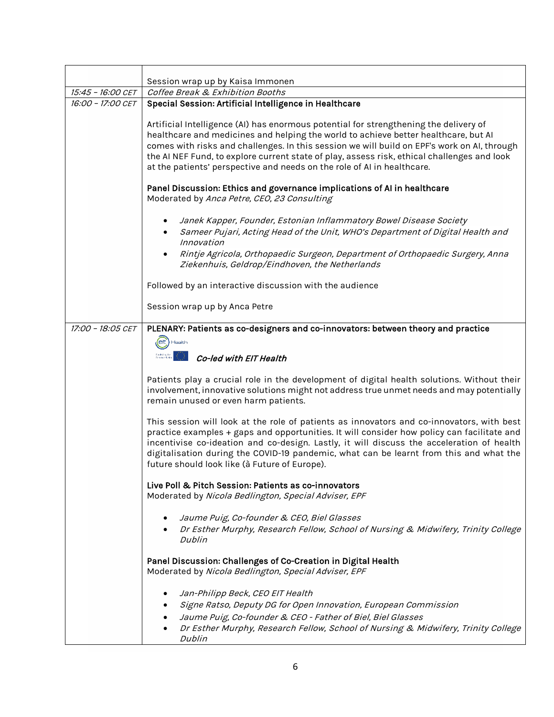|                                        | Session wrap up by Kaisa Immonen                                                                                                                                                                                                                                                                                                                                                                                                                                                                                |
|----------------------------------------|-----------------------------------------------------------------------------------------------------------------------------------------------------------------------------------------------------------------------------------------------------------------------------------------------------------------------------------------------------------------------------------------------------------------------------------------------------------------------------------------------------------------|
| 15:45 - 16:00 CET<br>16:00 - 17:00 CET | Coffee Break & Exhibition Booths                                                                                                                                                                                                                                                                                                                                                                                                                                                                                |
|                                        | Special Session: Artificial Intelligence in Healthcare<br>Artificial Intelligence (AI) has enormous potential for strengthening the delivery of<br>healthcare and medicines and helping the world to achieve better healthcare, but AI<br>comes with risks and challenges. In this session we will build on EPF's work on AI, through<br>the AI NEF Fund, to explore current state of play, assess risk, ethical challenges and look<br>at the patients' perspective and needs on the role of AI in healthcare. |
|                                        | Panel Discussion: Ethics and governance implications of AI in healthcare<br>Moderated by Anca Petre, CEO, 23 Consulting                                                                                                                                                                                                                                                                                                                                                                                         |
|                                        | Janek Kapper, Founder, Estonian Inflammatory Bowel Disease Society<br>$\bullet$<br>Sameer Pujari, Acting Head of the Unit, WHO's Department of Digital Health and<br>Innovation                                                                                                                                                                                                                                                                                                                                 |
|                                        | Rintje Agricola, Orthopaedic Surgeon, Department of Orthopaedic Surgery, Anna<br>Ziekenhuis, Geldrop/Eindhoven, the Netherlands                                                                                                                                                                                                                                                                                                                                                                                 |
|                                        | Followed by an interactive discussion with the audience                                                                                                                                                                                                                                                                                                                                                                                                                                                         |
|                                        | Session wrap up by Anca Petre                                                                                                                                                                                                                                                                                                                                                                                                                                                                                   |
| 17:00 - 18:05 CET                      | PLENARY: Patients as co-designers and co-innovators: between theory and practice                                                                                                                                                                                                                                                                                                                                                                                                                                |
|                                        | <b>elt</b> Health                                                                                                                                                                                                                                                                                                                                                                                                                                                                                               |
|                                        | Co-led with EIT Health                                                                                                                                                                                                                                                                                                                                                                                                                                                                                          |
|                                        |                                                                                                                                                                                                                                                                                                                                                                                                                                                                                                                 |
|                                        | Patients play a crucial role in the development of digital health solutions. Without their<br>involvement, innovative solutions might not address true unmet needs and may potentially<br>remain unused or even harm patients.                                                                                                                                                                                                                                                                                  |
|                                        | This session will look at the role of patients as innovators and co-innovators, with best<br>practice examples + gaps and opportunities. It will consider how policy can facilitate and<br>incentivise co-ideation and co-design. Lastly, it will discuss the acceleration of health<br>digitalisation during the COVID-19 pandemic, what can be learnt from this and what the<br>future should look like (à Future of Europe).                                                                                 |
|                                        | Live Poll & Pitch Session: Patients as co-innovators<br>Moderated by Nicola Bedlington, Special Adviser, EPF                                                                                                                                                                                                                                                                                                                                                                                                    |
|                                        | Jaume Puig, Co-founder & CEO, Biel Glasses<br>Dr Esther Murphy, Research Fellow, School of Nursing & Midwifery, Trinity College<br>Dublin                                                                                                                                                                                                                                                                                                                                                                       |
|                                        | Panel Discussion: Challenges of Co-Creation in Digital Health<br>Moderated by Nicola Bedlington, Special Adviser, EPF                                                                                                                                                                                                                                                                                                                                                                                           |
|                                        | Jan-Philipp Beck, CEO EIT Health<br>Signe Ratso, Deputy DG for Open Innovation, European Commission<br>Jaume Puig, Co-founder & CEO - Father of Biel, Biel Glasses<br>Dr Esther Murphy, Research Fellow, School of Nursing & Midwifery, Trinity College<br><b>Dublin</b>                                                                                                                                                                                                                                        |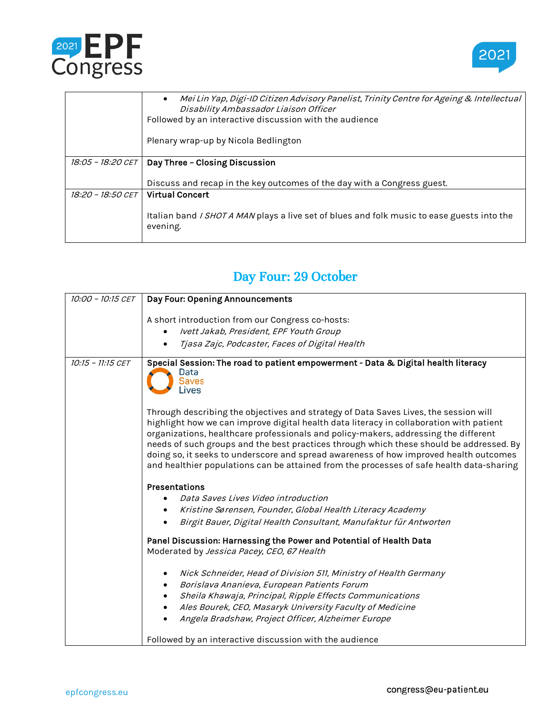



|                          | Mei Lin Yap, Digi-ID Citizen Advisory Panelist, Trinity Centre for Ageing & Intellectual<br>$\bullet$<br>Disability Ambassador Liaison Officer |
|--------------------------|------------------------------------------------------------------------------------------------------------------------------------------------|
|                          | Followed by an interactive discussion with the audience                                                                                        |
|                          | Plenary wrap-up by Nicola Bedlington                                                                                                           |
| <i>18:05 - 18:20 CET</i> | Day Three - Closing Discussion                                                                                                                 |
|                          | Discuss and recap in the key outcomes of the day with a Congress guest.                                                                        |
| 18:20 - 18:50 CET        | <b>Virtual Concert</b>                                                                                                                         |
|                          | Italian band <i>I SHOT A MAN</i> plays a live set of blues and folk music to ease guests into the<br>evening.                                  |

#### Day Four: 29 October

| 10:00 - 10:15 CET | Day Four: Opening Announcements                                                                                                                                                                                                                                                                                                                                                                                                                                                                                                                        |
|-------------------|--------------------------------------------------------------------------------------------------------------------------------------------------------------------------------------------------------------------------------------------------------------------------------------------------------------------------------------------------------------------------------------------------------------------------------------------------------------------------------------------------------------------------------------------------------|
|                   | A short introduction from our Congress co-hosts:                                                                                                                                                                                                                                                                                                                                                                                                                                                                                                       |
|                   | Ivett Jakab, President, EPF Youth Group                                                                                                                                                                                                                                                                                                                                                                                                                                                                                                                |
|                   | Tjasa Zajc, Podcaster, Faces of Digital Health                                                                                                                                                                                                                                                                                                                                                                                                                                                                                                         |
| 10:15 - 11:15 CET | Special Session: The road to patient empowerment - Data & Digital health literacy<br>Data<br>Saves<br>Lives                                                                                                                                                                                                                                                                                                                                                                                                                                            |
|                   | Through describing the objectives and strategy of Data Saves Lives, the session will<br>highlight how we can improve digital health data literacy in collaboration with patient<br>organizations, healthcare professionals and policy-makers, addressing the different<br>needs of such groups and the best practices through which these should be addressed. By<br>doing so, it seeks to underscore and spread awareness of how improved health outcomes<br>and healthier populations can be attained from the processes of safe health data-sharing |
|                   | Presentations                                                                                                                                                                                                                                                                                                                                                                                                                                                                                                                                          |
|                   | Data Saves Lives Video introduction                                                                                                                                                                                                                                                                                                                                                                                                                                                                                                                    |
|                   | Kristine Sørensen, Founder, Global Health Literacy Academy<br>٠                                                                                                                                                                                                                                                                                                                                                                                                                                                                                        |
|                   | Birgit Bauer, Digital Health Consultant, Manufaktur für Antworten                                                                                                                                                                                                                                                                                                                                                                                                                                                                                      |
|                   | Panel Discussion: Harnessing the Power and Potential of Health Data<br>Moderated by Jessica Pacey, CEO, 67 Health                                                                                                                                                                                                                                                                                                                                                                                                                                      |
|                   | Nick Schneider, Head of Division 511, Ministry of Health Germany<br>٠                                                                                                                                                                                                                                                                                                                                                                                                                                                                                  |
|                   | Borislava Ananieva, European Patients Forum<br>$\bullet$                                                                                                                                                                                                                                                                                                                                                                                                                                                                                               |
|                   | Sheila Khawaja, Principal, Ripple Effects Communications<br>٠                                                                                                                                                                                                                                                                                                                                                                                                                                                                                          |
|                   | Ales Bourek, CEO, Masaryk University Faculty of Medicine                                                                                                                                                                                                                                                                                                                                                                                                                                                                                               |
|                   | Angela Bradshaw, Project Officer, Alzheimer Europe                                                                                                                                                                                                                                                                                                                                                                                                                                                                                                     |
|                   | Followed by an interactive discussion with the audience                                                                                                                                                                                                                                                                                                                                                                                                                                                                                                |